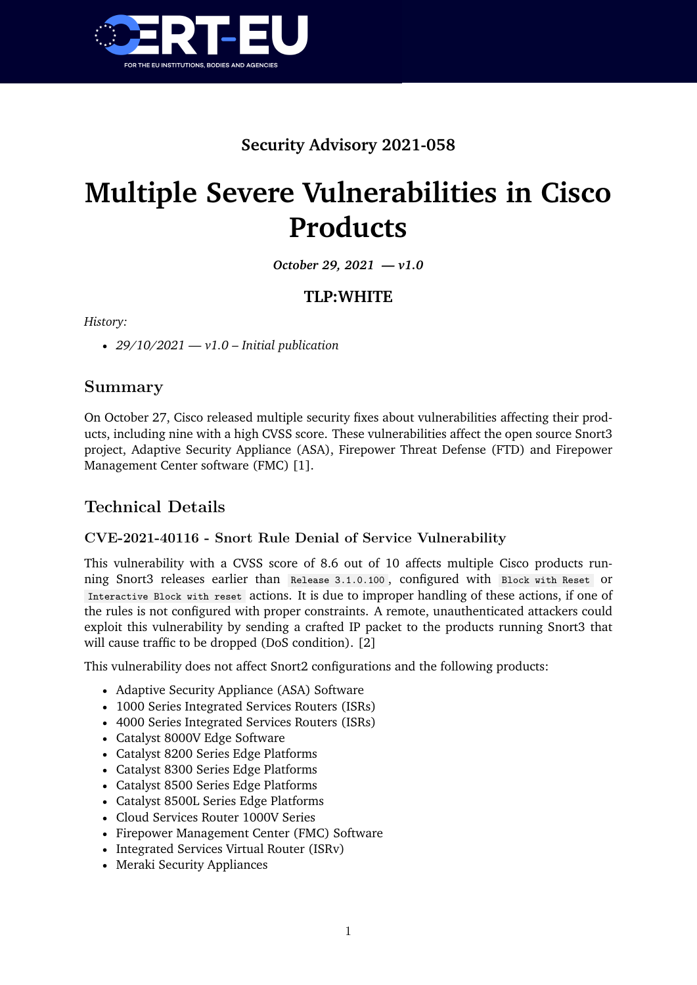

# **Security Advisory 2021-058**

# **Multiple Severe Vulnerabilities in Cisco Products**

*October 29, 2021 — v1.0*

## **TLP:WHITE**

*History:*

• *29/10/2021 — v1.0 – Initial publication*

## **Summary**

On October 27, Cisco released multiple security fixes about vulnerabilities affecting their products, including nine with a high CVSS score. These vulnerabilities affect the open source Snort3 project, Adaptive Security Appliance (ASA), Firepower Threat Defense (FTD) and Firepower Management Center software (FMC) [1].

# **Technical Details**

#### **CVE-2021-40116 - Snort Rule Denial of Service Vulnerability**

This vulnerability with a CVSS score of 8.6 out of 10 affects multiple Cisco products running Snort3 releases earlier than Release 3.1.0.100 , configured with Block with Reset or Interactive Block with reset actions. It is due to improper handling of these actions, if one of the rules is not configured with proper constraints. A remote, unauthenticated attackers could exploit this vulnerability by sending a crafted IP packet to the products running Snort3 that will cause traffic to be dropped (DoS condition). [2]

This vulnerability does not affect Snort2 configurations and the following products:

- Adaptive Security Appliance (ASA) Software
- 1000 Series Integrated Services Routers (ISRs)
- 4000 Series Integrated Services Routers (ISRs)
- Catalyst 8000V Edge Software
- Catalyst 8200 Series Edge Platforms
- Catalyst 8300 Series Edge Platforms
- Catalyst 8500 Series Edge Platforms
- Catalyst 8500L Series Edge Platforms
- Cloud Services Router 1000V Series
- Firepower Management Center (FMC) Software
- Integrated Services Virtual Router (ISRv)
- Meraki Security Appliances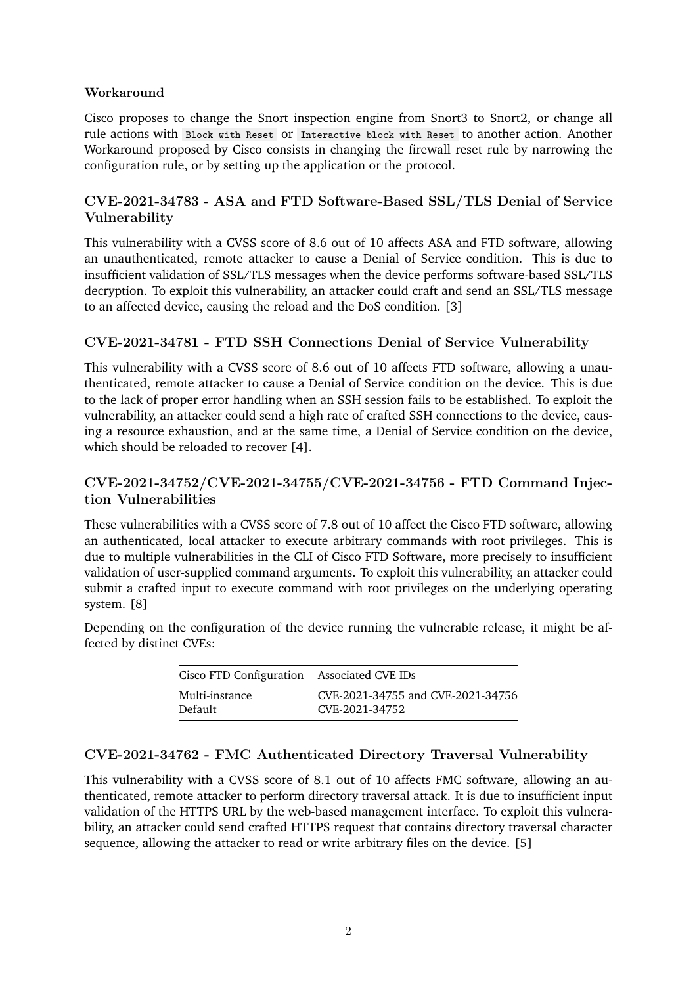#### **Workaround**

Cisco proposes to change the Snort inspection engine from Snort3 to Snort2, or change all rule actions with Block with Reset or Interactive block with Reset to another action. Another Workaround proposed by Cisco consists in changing the firewall reset rule by narrowing the configuration rule, or by setting up the application or the protocol.

#### **CVE-2021-34783 - ASA and FTD Software-Based SSL/TLS Denial of Service Vulnerability**

This vulnerability with a CVSS score of 8.6 out of 10 affects ASA and FTD software, allowing an unauthenticated, remote attacker to cause a Denial of Service condition. This is due to insufficient validation of SSL/TLS messages when the device performs software-based SSL/TLS decryption. To exploit this vulnerability, an attacker could craft and send an SSL/TLS message to an affected device, causing the reload and the DoS condition. [3]

#### **CVE-2021-34781 - FTD SSH Connections Denial of Service Vulnerability**

This vulnerability with a CVSS score of 8.6 out of 10 affects FTD software, allowing a unauthenticated, remote attacker to cause a Denial of Service condition on the device. This is due to the lack of proper error handling when an SSH session fails to be established. To exploit the vulnerability, an attacker could send a high rate of crafted SSH connections to the device, causing a resource exhaustion, and at the same time, a Denial of Service condition on the device, which should be reloaded to recover [4].

#### **CVE-2021-34752/CVE-2021-34755/CVE-2021-34756 - FTD Command Injection Vulnerabilities**

These vulnerabilities with a CVSS score of 7.8 out of 10 affect the Cisco FTD software, allowing an authenticated, local attacker to execute arbitrary commands with root privileges. This is due to multiple vulnerabilities in the CLI of Cisco FTD Software, more precisely to insufficient validation of user-supplied command arguments. To exploit this vulnerability, an attacker could submit a crafted input to execute command with root privileges on the underlying operating system. [8]

Depending on the configuration of the device running the vulnerable release, it might be affected by distinct CVEs:

| Cisco FTD Configuration Associated CVE IDs |                                   |
|--------------------------------------------|-----------------------------------|
| Multi-instance                             | CVE-2021-34755 and CVE-2021-34756 |
| Default                                    | CVE-2021-34752                    |

#### **CVE-2021-34762 - FMC Authenticated Directory Traversal Vulnerability**

This vulnerability with a CVSS score of 8.1 out of 10 affects FMC software, allowing an authenticated, remote attacker to perform directory traversal attack. It is due to insufficient input validation of the HTTPS URL by the web-based management interface. To exploit this vulnerability, an attacker could send crafted HTTPS request that contains directory traversal character sequence, allowing the attacker to read or write arbitrary files on the device. [5]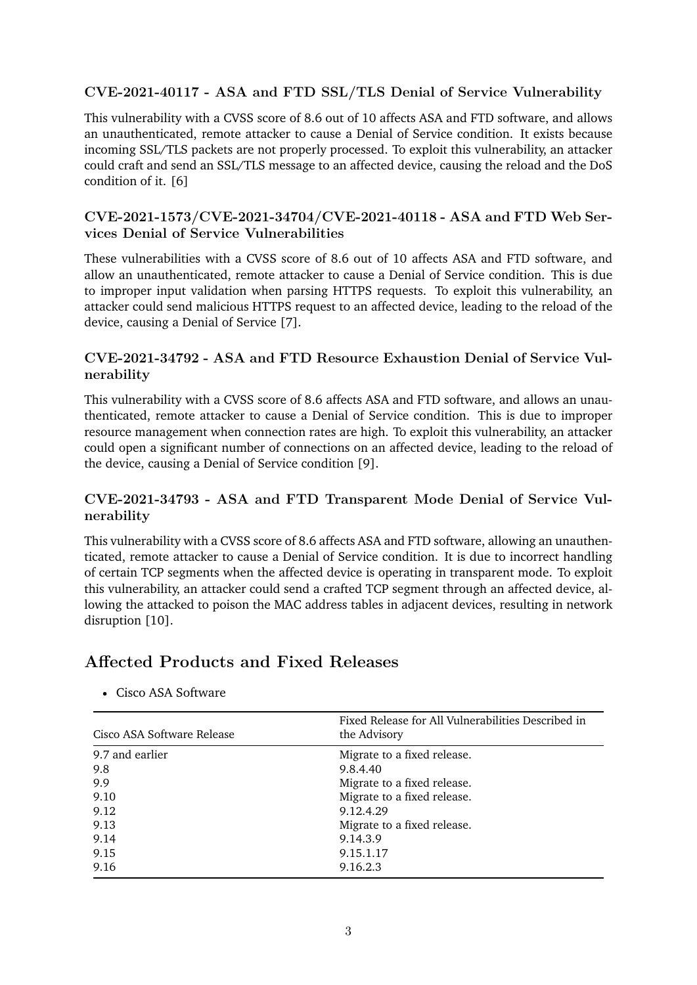#### **CVE-2021-40117 - ASA and FTD SSL/TLS Denial of Service Vulnerability**

This vulnerability with a CVSS score of 8.6 out of 10 affects ASA and FTD software, and allows an unauthenticated, remote attacker to cause a Denial of Service condition. It exists because incoming SSL/TLS packets are not properly processed. To exploit this vulnerability, an attacker could craft and send an SSL/TLS message to an affected device, causing the reload and the DoS condition of it. [6]

#### **CVE-2021-1573/CVE-2021-34704/CVE-2021-40118 - ASA and FTD Web Services Denial of Service Vulnerabilities**

These vulnerabilities with a CVSS score of 8.6 out of 10 affects ASA and FTD software, and allow an unauthenticated, remote attacker to cause a Denial of Service condition. This is due to improper input validation when parsing HTTPS requests. To exploit this vulnerability, an attacker could send malicious HTTPS request to an affected device, leading to the reload of the device, causing a Denial of Service [7].

#### **CVE-2021-34792 - ASA and FTD Resource Exhaustion Denial of Service Vulnerability**

This vulnerability with a CVSS score of 8.6 affects ASA and FTD software, and allows an unauthenticated, remote attacker to cause a Denial of Service condition. This is due to improper resource management when connection rates are high. To exploit this vulnerability, an attacker could open a significant number of connections on an affected device, leading to the reload of the device, causing a Denial of Service condition [9].

#### **CVE-2021-34793 - ASA and FTD Transparent Mode Denial of Service Vulnerability**

This vulnerability with a CVSS score of 8.6 affects ASA and FTD software, allowing an unauthenticated, remote attacker to cause a Denial of Service condition. It is due to incorrect handling of certain TCP segments when the affected device is operating in transparent mode. To exploit this vulnerability, an attacker could send a crafted TCP segment through an affected device, allowing the attacked to poison the MAC address tables in adjacent devices, resulting in network disruption [10].

# **Affected Products and Fixed Releases**

| Cisco ASA Software Release | Fixed Release for All Vulnerabilities Described in<br>the Advisory |  |
|----------------------------|--------------------------------------------------------------------|--|
| 9.7 and earlier            | Migrate to a fixed release.                                        |  |
| 9.8                        | 9.8.4.40                                                           |  |
| 9.9                        | Migrate to a fixed release.                                        |  |
| 9.10                       | Migrate to a fixed release.                                        |  |
| 9.12                       | 9.12.4.29                                                          |  |
| 9.13                       | Migrate to a fixed release.                                        |  |
| 9.14                       | 9.14.3.9                                                           |  |
| 9.15                       | 9.15.1.17                                                          |  |
| 9.16                       | 9.16.2.3                                                           |  |

• Cisco ASA Software